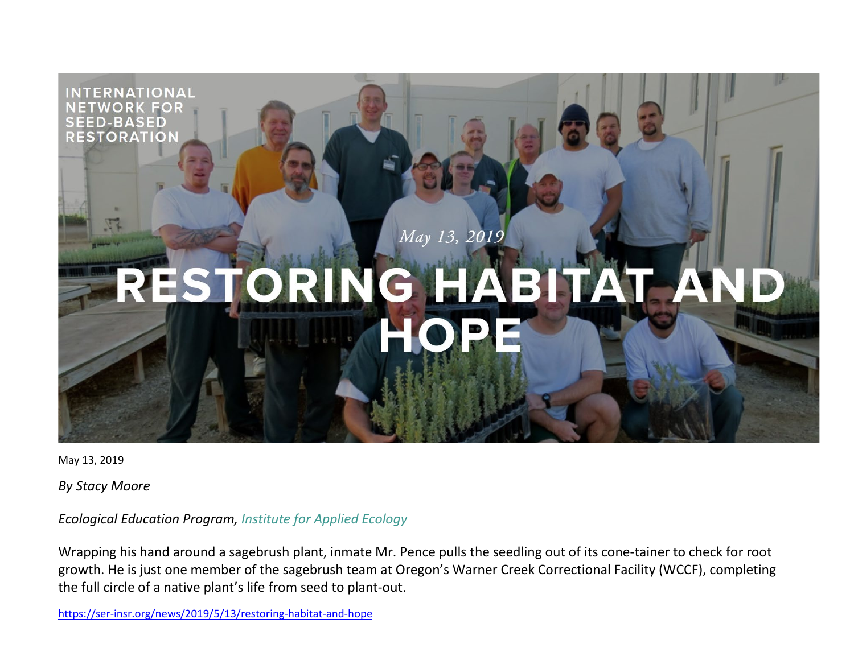

May 13, 2019

*By Stacy Moore*

*Ecological Education Program, [Institute for Applied Ecology](https://appliedeco.org/)*

Wrapping his hand around a sagebrush plant, inmate Mr. Pence pulls the seedling out of its cone-tainer to check for root growth. He is just one member of the sagebrush team at Oregon's Warner Creek Correctional Facility (WCCF), completing the full circle of a native plant's life from seed to plant-out.

<https://ser-insr.org/news/2019/5/13/restoring-habitat-and-hope>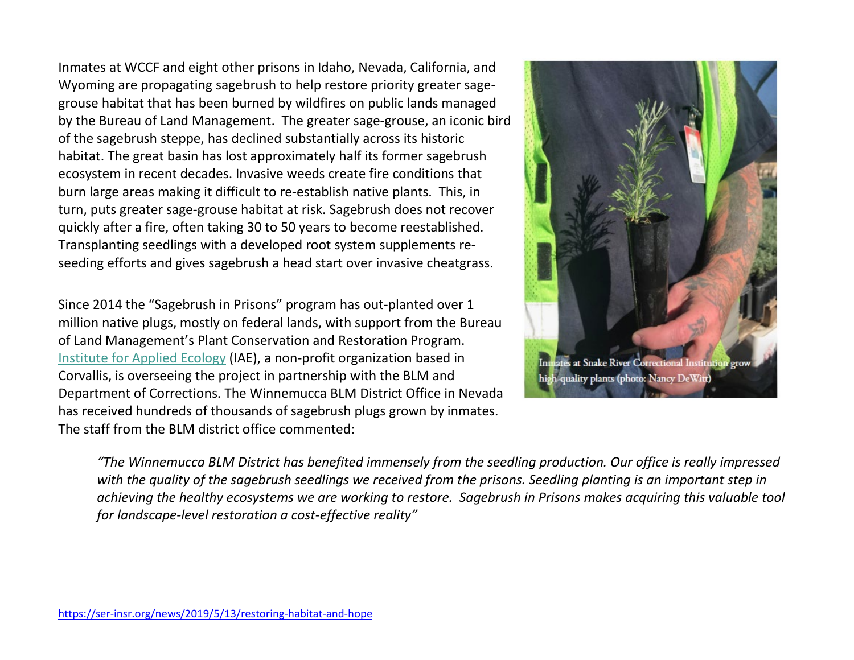Inmates at WCCF and eight other prisons in Idaho, Nevada, California, and Wyoming are propagating sagebrush to help restore priority greater sagegrouse habitat that has been burned by wildfires on public lands managed by the Bureau of Land Management. The greater sage-grouse, an iconic bird of the sagebrush steppe, has declined substantially across its historic habitat. The great basin has lost approximately half its former sagebrush ecosystem in recent decades. Invasive weeds create fire conditions that burn large areas making it difficult to re-establish native plants. This, in turn, puts greater sage-grouse habitat at risk. Sagebrush does not recover quickly after a fire, often taking 30 to 50 years to become reestablished. Transplanting seedlings with a developed root system supplements reseeding efforts and gives sagebrush a head start over invasive cheatgrass.

Since 2014 the "Sagebrush in Prisons" program has out-planted over 1 million native plugs, mostly on federal lands, with support from the Bureau of Land Management's Plant Conservation and Restoration Program. [Institute for Applied Ecology](https://appliedeco.org/) (IAE), a non-profit organization based in Corvallis, is overseeing the project in partnership with the BLM and Department of Corrections. The Winnemucca BLM District Office in Nevada has received hundreds of thousands of sagebrush plugs grown by inmates. The staff from the BLM district office commented:



*"The Winnemucca BLM District has benefited immensely from the seedling production. Our office is really impressed with the quality of the sagebrush seedlings we received from the prisons. Seedling planting is an important step in achieving the healthy ecosystems we are working to restore. Sagebrush in Prisons makes acquiring this valuable tool for landscape-level restoration a cost-effective reality"*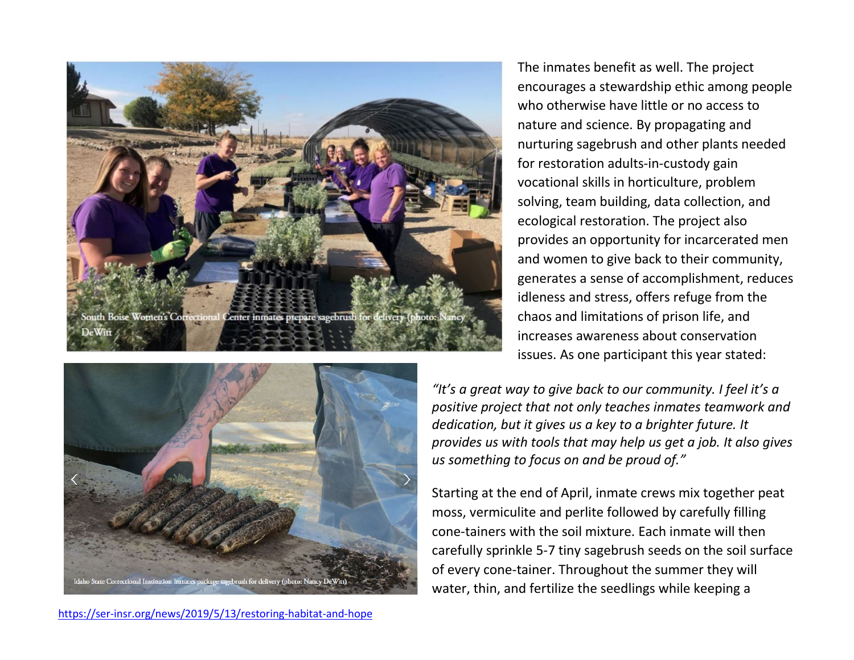



The inmates benefit as well. The project encourages a stewardship ethic among people who otherwise have little or no access to nature and science. By propagating and nurturing sagebrush and other plants needed for restoration adults-in-custody gain vocational skills in horticulture, problem solving, team building, data collection, and ecological restoration. The project also provides an opportunity for incarcerated men and women to give back to their community, generates a sense of accomplishment, reduces idleness and stress, offers refuge from the chaos and limitations of prison life, and increases awareness about conservation issues. As one participant this year stated:

*"It's a great way to give back to our community. I feel it's a positive project that not only teaches inmates teamwork and dedication, but it gives us a key to a brighter future. It provides us with tools that may help us get a job. It also gives us something to focus on and be proud of."*

Starting at the end of April, inmate crews mix together peat moss, vermiculite and perlite followed by carefully filling cone-tainers with the soil mixture. Each inmate will then carefully sprinkle 5-7 tiny sagebrush seeds on the soil surface of every cone-tainer. Throughout the summer they will water, thin, and fertilize the seedlings while keeping a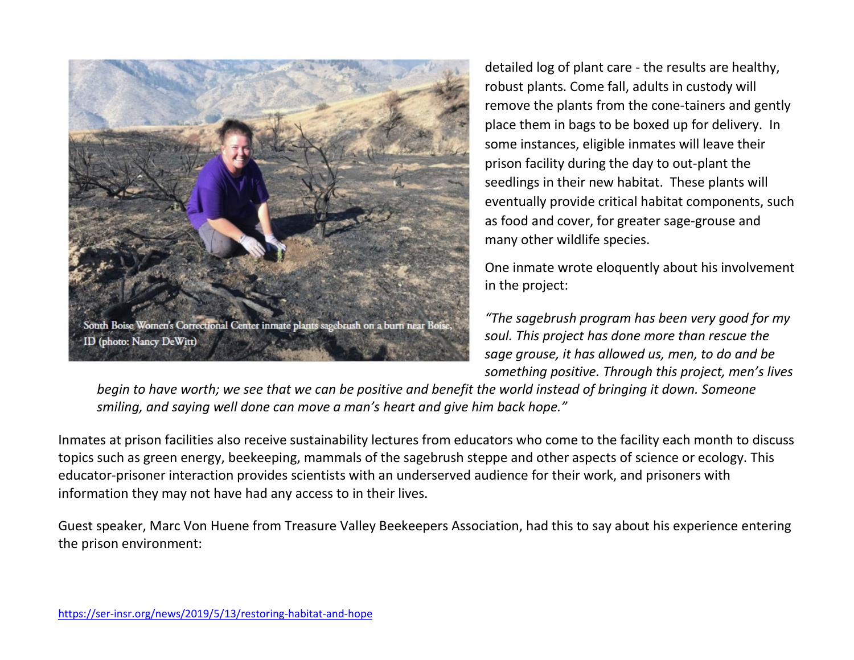

detailed log of plant care - the results are healthy, robust plants. Come fall, adults in custody will remove the plants from the cone-tainers and gently place them in bags to be boxed up for delivery. In some instances, eligible inmates will leave their prison facility during the day to out-plant the seedlings in their new habitat. These plants will eventually provide critical habitat components, such as food and cover, for greater sage-grouse and many other wildlife species.

One inmate wrote eloquently about his involvement in the project:

*"The sagebrush program has been very good for my soul. This project has done more than rescue the sage grouse, it has allowed us, men, to do and be something positive. Through this project, men's lives* 

*begin to have worth; we see that we can be positive and benefit the world instead of bringing it down. Someone smiling, and saying well done can move a man's heart and give him back hope."*

Inmates at prison facilities also receive sustainability lectures from educators who come to the facility each month to discuss topics such as green energy, beekeeping, mammals of the sagebrush steppe and other aspects of science or ecology. This educator-prisoner interaction provides scientists with an underserved audience for their work, and prisoners with information they may not have had any access to in their lives.

Guest speaker, Marc Von Huene from Treasure Valley Beekeepers Association, had this to say about his experience entering the prison environment: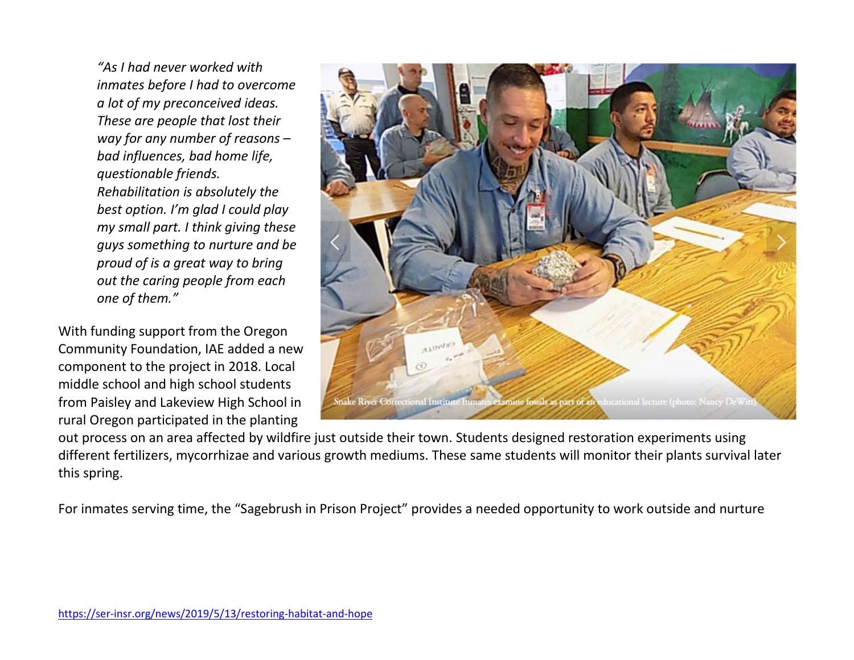*"As I had never worked with inmates before I had to overcome a lot of my preconceived ideas. These are people that lost their way for any number of reasons – bad influences, bad home life, questionable friends. Rehabilitation is absolutely the best option. I'm glad I could play my small part. I think giving these guys something to nurture and be proud of is a great way to bring out the caring people from each one of them."*

With funding support from the Oregon Community Foundation, IAE added a new component to the project in 2018. Local middle school and high school students from Paisley and Lakeview High School in rural Oregon participated in the planting

ucational lecture (photo: Nancy DeWit

out process on an area affected by wildfire just outside their town. Students designed restoration experiments using different fertilizers, mycorrhizae and various growth mediums. These same students will monitor their plants survival later this spring.

For inmates serving time, the "Sagebrush in Prison Project" provides a needed opportunity to work outside and nurture